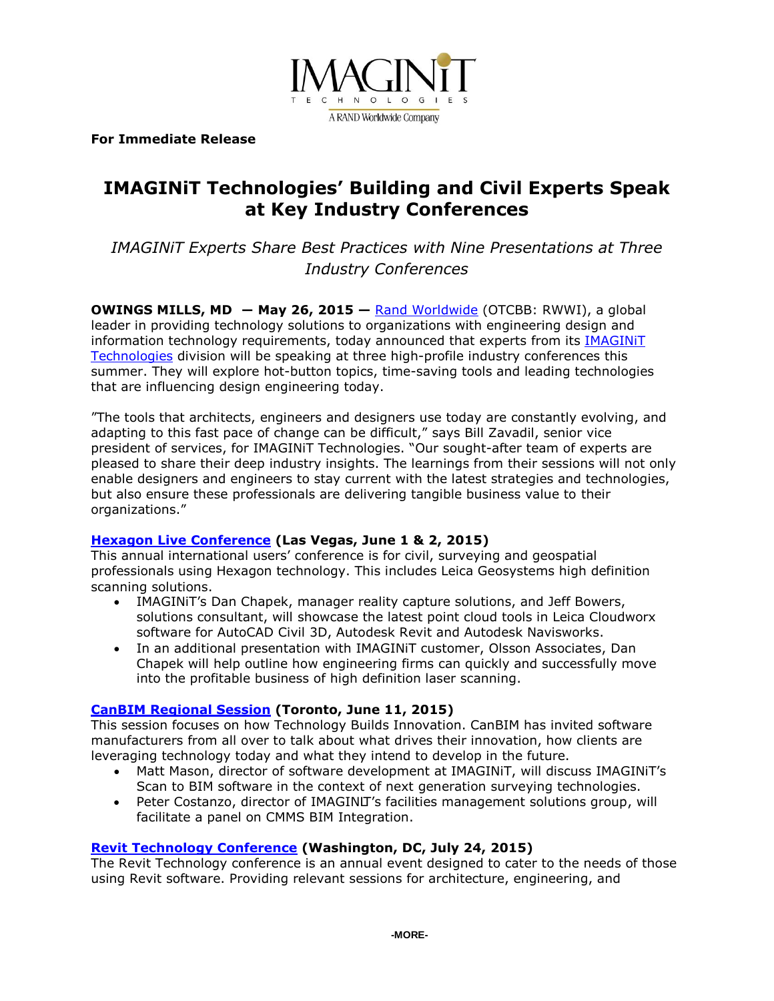

**For Immediate Release** 

# **IMAGINiT Technologies' Building and Civil Experts Speak at Key Industry Conferences**

*IMAGINiT Experts Share Best Practices with Nine Presentations at Three Industry Conferences* 

**OWINGS MILLS, MD ― May 26, 2015 —** [Rand Worldwide](http://www.rand.com/) (OTCBB: RWWI), a global leader in providing technology solutions to organizations with engineering design and information technology requirements, today announced that experts from its **IMAGINIT** [Technologies](http://www.imaginit.com/) division will be speaking at three high-profile industry conferences this summer. They will explore hot-button topics, time-saving tools and leading technologies that are influencing design engineering today.

"The tools that architects, engineers and designers use today are constantly evolving, and adapting to this fast pace of change can be difficult," says Bill Zavadil, senior vice president of services, for IMAGINiT Technologies. "Our sought-after team of experts are pleased to share their deep industry insights. The learnings from their sessions will not only enable designers and engineers to stay current with the latest strategies and technologies, but also ensure these professionals are delivering tangible business value to their organizations."

## **[Hexagon Live Conference](http://hxgnlive.com/en/las-vegas) (Las Vegas, June 1 & 2, 2015)**

This annual international users' conference is for civil, surveying and geospatial professionals using Hexagon technology. This includes Leica Geosystems high definition scanning solutions.

- IMAGINiT's Dan Chapek, manager reality capture solutions, and Jeff Bowers, solutions consultant, will showcase the latest point cloud tools in Leica Cloudworx software for AutoCAD Civil 3D, Autodesk Revit and Autodesk Navisworks.
- In an additional presentation with IMAGINiT customer, Olsson Associates, Dan Chapek will help outline how engineering firms can quickly and successfully move into the profitable business of high definition laser scanning.

## **[CanBIM Regional Session](http://www.canbim.com/canbim-events-0/2015-39/toronto-95) (Toronto, June 11, 2015)**

This session focuses on how Technology Builds Innovation. CanBIM has invited software manufacturers from all over to talk about what drives their innovation, how clients are leveraging technology today and what they intend to develop in the future.

- Matt Mason, director of software development at IMAGINiT, will discuss IMAGINiT's Scan to BIM software in the context of next generation surveying technologies.
- Peter Costanzo, director of IMAGINJT's facilities management solutions group, will facilitate a panel on CMMS BIM Integration.

## **[Revit Technology Conference](http://www.cvent.com/events/rtc-north-america-2015/event-summary-a115ad5f3cb846638b8b3e8ae4c618bb.aspx) (Washington, DC, July 24, 2015)**

The Revit Technology conference is an annual event designed to cater to the needs of those using Revit software. Providing relevant sessions for architecture, engineering, and